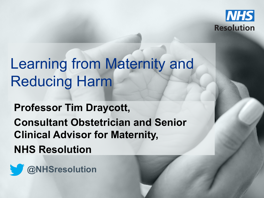

**@NHSresolution**

## Learning from Maternity and Reducing Harm

**Professor Tim Draycott, Wilson-**

**Consultant Obstetrician and Senior Mateural Advisory 10. Clinical Advisor for Maternity, NHS Resolution** 

Advise / Resolve / Learn 1

Delivering fair resolution

**@NHSresolution**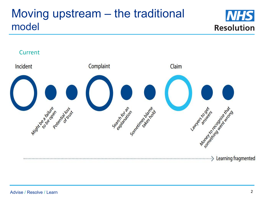#### Moving upstream – the traditional model





#### Advise / Resolve / Learn 2012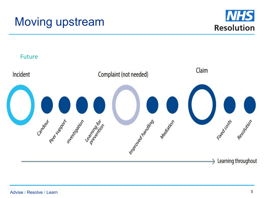



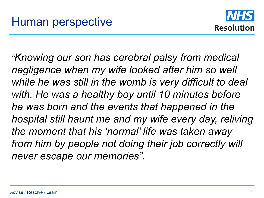

*"Knowing our son has cerebral palsy from medical negligence when my wife looked after him so well while he was still in the womb is very difficult to deal with. He was a healthy boy until 10 minutes before he was born and the events that happened in the hospital still haunt me and my wife every day, reliving the moment that his 'normal' life was taken away from him by people not doing their job correctly will never escape our memories".*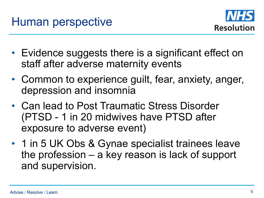

- Evidence suggests there is a significant effect on staff after adverse maternity events
- Common to experience guilt, fear, anxiety, anger, depression and insomnia
- Can lead to Post Traumatic Stress Disorder (PTSD - 1 in 20 midwives have PTSD after exposure to adverse event)
- 1 in 5 UK Obs & Gynae specialist trainees leave the profession – a key reason is lack of support and supervision.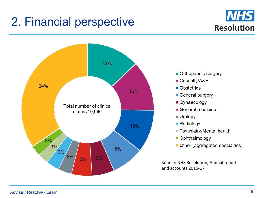#### 2. Financial perspective



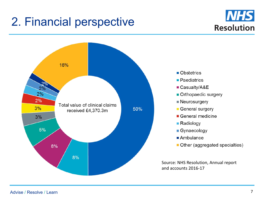#### 2. Financial perspective



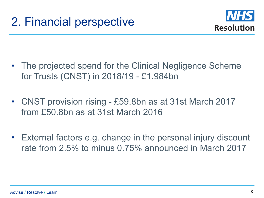

- The projected spend for the Clinical Negligence Scheme for Trusts (CNST) in 2018/19 - £1.984bn
- CNST provision rising £59.8bn as at 31st March 2017 from £50.8bn as at 31st March 2016
- External factors e.g. change in the personal injury discount rate from 2.5% to minus 0.75% announced in March 2017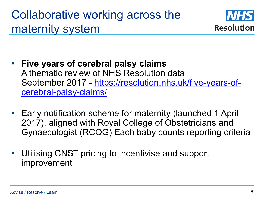### Collaborative working across the maternity system



- **Five years of cerebral palsy claims** A thematic review of NHS Resolution data September 2017 - https://resolution.nhs.uk/five-years-ofcerebral-palsy-claims/
- Early notification scheme for maternity (launched 1 April 2017), aligned with Royal College of Obstetricians and Gynaecologist (RCOG) Each baby counts reporting criteria
- Utilising CNST pricing to incentivise and support improvement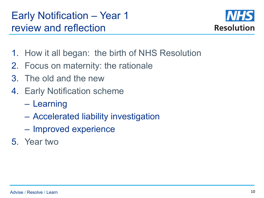#### Early Notification – Year 1 review and reflection



- 1. How it all began: the birth of NHS Resolution
- 2. Focus on maternity: the rationale
- 3. The old and the new
- 4. Early Notification scheme
	- Learning
	- Accelerated liability investigation
	- Improved experience
- 5. Year two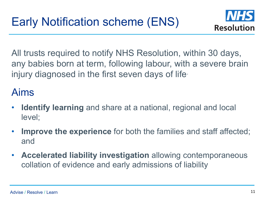

All trusts required to notify NHS Resolution, within 30 days, any babies born at term, following labour, with a severe brain injury diagnosed in the first seven days of life.

#### Aims

- **Identify learning** and share at a national, regional and local level;
- **Improve the experience** for both the families and staff affected; and
- **Accelerated liability investigation** allowing contemporaneous collation of evidence and early admissions of liability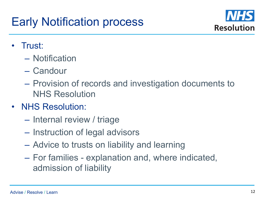### Early Notification process



- Trust:
	- Notification
	- Candour
	- Provision of records and investigation documents to NHS Resolution
- NHS Resolution:
	- Internal review / triage
	- Instruction of legal advisors
	- Advice to trusts on liability and learning
	- For families explanation and, where indicated, admission of liability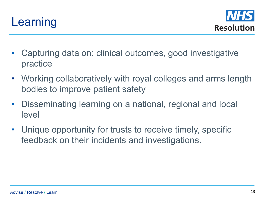



- Capturing data on: clinical outcomes, good investigative practice
- Working collaboratively with royal colleges and arms length bodies to improve patient safety
- Disseminating learning on a national, regional and local level
- Unique opportunity for trusts to receive timely, specific feedback on their incidents and investigations.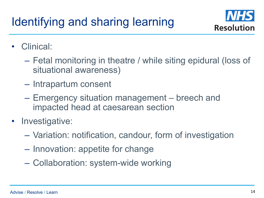

- Clinical:
	- Fetal monitoring in theatre / while siting epidural (loss of situational awareness)
	- Intrapartum consent
	- Emergency situation management breech and impacted head at caesarean section
- Investigative:
	- Variation: notification, candour, form of investigation
	- Innovation: appetite for change
	- Collaboration: system-wide working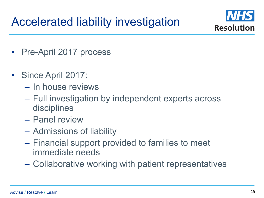

- Pre-April 2017 process
- Since April 2017:
	- In house reviews
	- Full investigation by independent experts across disciplines
	- Panel review
	- Admissions of liability
	- Financial support provided to families to meet immediate needs
	- Collaborative working with patient representatives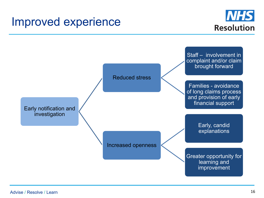#### Improved experience



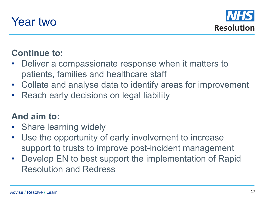



#### **Continue to:**

- Deliver a compassionate response when it matters to patients, families and healthcare staff
- Collate and analyse data to identify areas for improvement
- Reach early decisions on legal liability

#### **And aim to:**

- Share learning widely
- Use the opportunity of early involvement to increase support to trusts to improve post-incident management
- Develop EN to best support the implementation of Rapid Resolution and Redress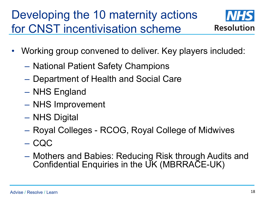### Developing the 10 maternity actions for CNST incentivisation scheme



- Working group convened to deliver. Key players included:
	- National Patient Safety Champions
	- Department of Health and Social Care
	- NHS England
	- NHS Improvement
	- NHS Digital
	- Royal Colleges RCOG, Royal College of Midwives
	- CQC
	- Mothers and Babies: Reducing Risk through Audits and Confidential Enquiries in the UK (MBRRACE-UK)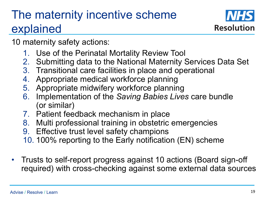### The maternity incentive scheme explained



10 maternity safety actions:

- 1. Use of the Perinatal Mortality Review Tool
- 2. Submitting data to the National Maternity Services Data Set
- 3. Transitional care facilities in place and operational
- 4. Appropriate medical workforce planning
- 5. Appropriate midwifery workforce planning
- 6. Implementation of the *Saving Babies Lives* care bundle (or similar)
- 7. Patient feedback mechanism in place
- 8. Multi professional training in obstetric emergencies
- 9. Effective trust level safety champions
- 10. 100% reporting to the Early notification (EN) scheme
- Trusts to self-report progress against 10 actions (Board sign-off required) with cross-checking against some external data sources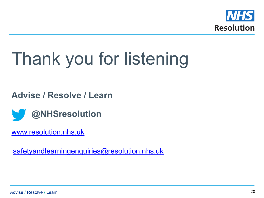

# Thank you for listening

**Advise / Resolve / Learn**



www.resolution.nhs.uk

safetyandlearningenquiries@resolution.nhs.uk